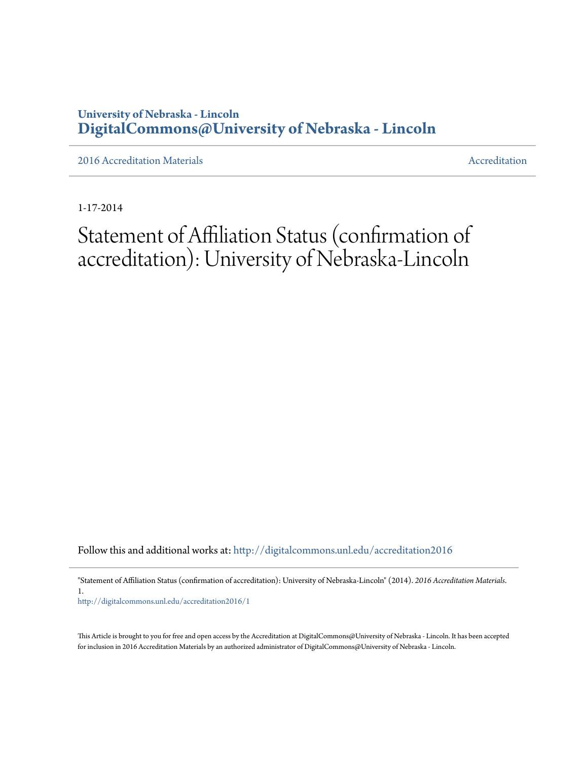### **University of Nebraska - Lincoln [DigitalCommons@University of Nebraska - Lincoln](http://digitalcommons.unl.edu?utm_source=digitalcommons.unl.edu%2Faccreditation2016%2F1&utm_medium=PDF&utm_campaign=PDFCoverPages)**

[2016 Accreditation Materials](http://digitalcommons.unl.edu/accreditation2016?utm_source=digitalcommons.unl.edu%2Faccreditation2016%2F1&utm_medium=PDF&utm_campaign=PDFCoverPages) **[Accreditation](http://digitalcommons.unl.edu/accreditation?utm_source=digitalcommons.unl.edu%2Faccreditation2016%2F1&utm_medium=PDF&utm_campaign=PDFCoverPages) Materials** Accreditation Accreditation

1-17-2014

## Statement of Affiliation Status (confirmation of accreditation): University of Nebraska-Lincoln

Follow this and additional works at: [http://digitalcommons.unl.edu/accreditation2016](http://digitalcommons.unl.edu/accreditation2016?utm_source=digitalcommons.unl.edu%2Faccreditation2016%2F1&utm_medium=PDF&utm_campaign=PDFCoverPages)

"Statement of Affiliation Status (confirmation of accreditation): University of Nebraska-Lincoln" (2014). *2016 Accreditation Materials*. 1.

[http://digitalcommons.unl.edu/accreditation2016/1](http://digitalcommons.unl.edu/accreditation2016/1?utm_source=digitalcommons.unl.edu%2Faccreditation2016%2F1&utm_medium=PDF&utm_campaign=PDFCoverPages)

This Article is brought to you for free and open access by the Accreditation at DigitalCommons@University of Nebraska - Lincoln. It has been accepted for inclusion in 2016 Accreditation Materials by an authorized administrator of DigitalCommons@University of Nebraska - Lincoln.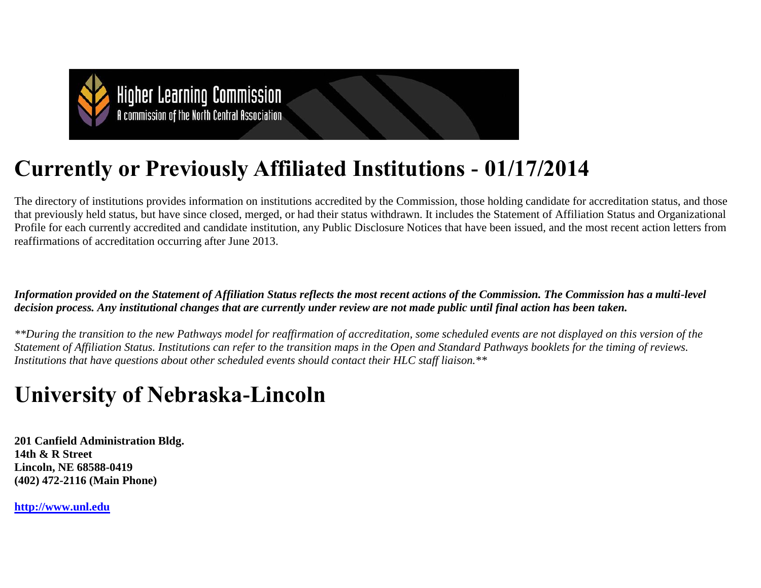

# **Currently or Previously Affiliated Institutions - 01/17/2014**

The directory of institutions provides information on institutions accredited by the Commission, those holding candidate for accreditation status, and those that previously held status, but have since closed, merged, or had their status withdrawn. It includes the Statement of Affiliation Status and Organizational Profile for each currently accredited and candidate institution, any Public Disclosure Notices that have been issued, and the most recent action letters from reaffirmations of accreditation occurring after June 2013.

*Information provided on the Statement of Affiliation Status reflects the most recent actions of the Commission. The Commission has a multi-level decision process. Any institutional changes that are currently under review are not made public until final action has been taken.*

*\*\*During the transition to the new Pathways model for reaffirmation of accreditation, some scheduled events are not displayed on this version of the Statement of Affiliation Status. Institutions can refer to the transition maps in the Open and Standard Pathways booklets for the timing of reviews. Institutions that have questions about other scheduled events should contact their HLC staff liaison.\*\**

# **University of Nebraska-Lincoln**

**201 Canfield Administration Bldg. 14th & R Street Lincoln, NE 68588-0419 (402) 472-2116 (Main Phone)**

**[http://www.unl.edu](http://www.unl.edu/)**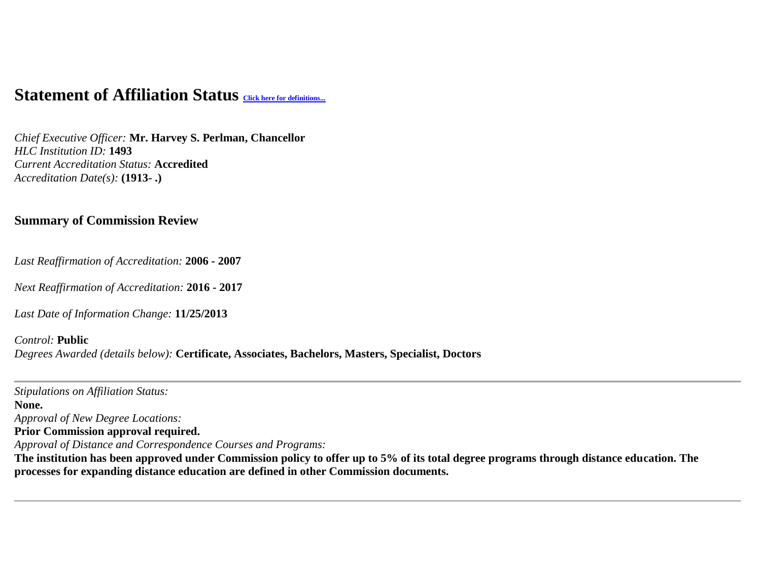## **Statement of Affiliation Status** *[Click here for definitions...](http://ncahlc.org/sas-definitions/Print.html)*

*Chief Executive Officer:* **Mr. Harvey S. Perlman, Chancellor** *HLC Institution ID:* **1493** *Current Accreditation Status:* **Accredited** *Accreditation Date(s):* **(1913- .)**

#### **Summary of Commission Review**

*Last Reaffirmation of Accreditation:* **2006 - 2007**

*Next Reaffirmation of Accreditation:* **2016 - 2017**

*Last Date of Information Change:* **11/25/2013**

#### *Control:* **Public** *Degrees Awarded (details below):* **Certificate, Associates, Bachelors, Masters, Specialist, Doctors**

*Stipulations on Affiliation Status:* **None.**  *Approval of New Degree Locations:*  **Prior Commission approval required.**  *Approval of Distance and Correspondence Courses and Programs:*  **The institution has been approved under Commission policy to offer up to 5% of its total degree programs through distance education. The processes for expanding distance education are defined in other Commission documents.**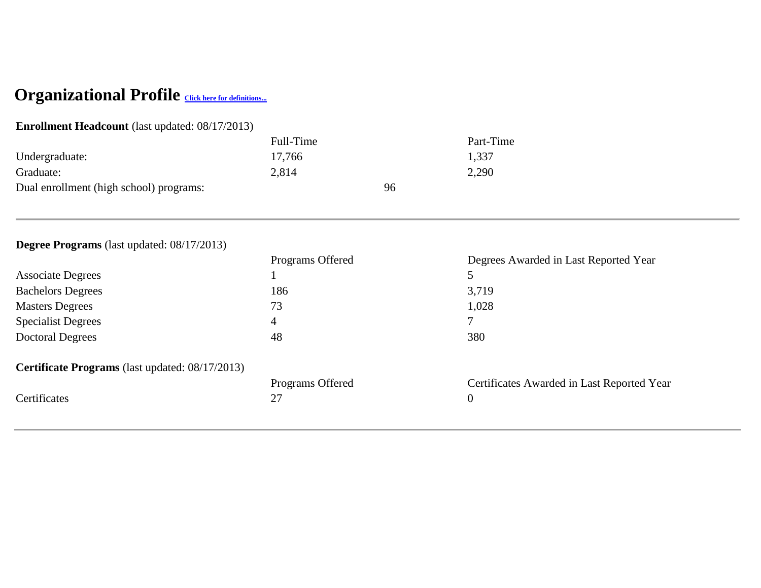## Organizational Profile **[Click here for definitions...](http://ncahlc.org/op-definitions/Print.html)**

### **Enrollment Headcount** (last updated: 08/17/2013)

|                                         | Full-Time | Part-Time |
|-----------------------------------------|-----------|-----------|
| Undergraduate:                          | 17,766    | 1,337     |
| Graduate:                               | 2,814     | 2,290     |
| Dual enrollment (high school) programs: | 96        |           |
|                                         |           |           |

## **Degree Programs** (last updated: 08/17/2013)

|                                                        | Programs Offered | Degrees Awarded in Last Reported Year      |
|--------------------------------------------------------|------------------|--------------------------------------------|
| <b>Associate Degrees</b>                               |                  |                                            |
| <b>Bachelors Degrees</b>                               | 186              | 3,719                                      |
| <b>Masters Degrees</b>                                 | 73               | 1,028                                      |
| <b>Specialist Degrees</b>                              | 4                | $\tau$                                     |
| <b>Doctoral Degrees</b>                                | 48               | 380                                        |
| <b>Certificate Programs</b> (last updated: 08/17/2013) |                  |                                            |
|                                                        | Programs Offered | Certificates Awarded in Last Reported Year |
| Certificates                                           | 27               | $\boldsymbol{0}$                           |
|                                                        |                  |                                            |